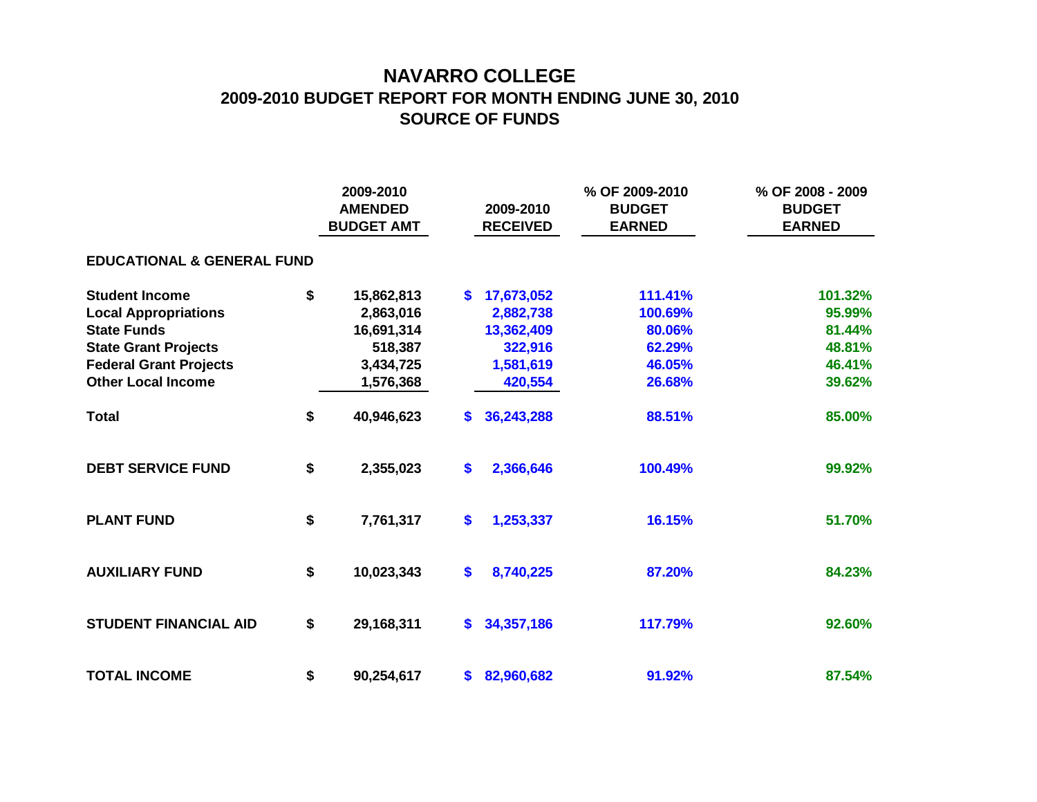## **NAVARRO COLLEGE 2009-2010 BUDGET REPORT FOR MONTH ENDING JUNE 30, 2010 SOURCE OF FUNDS**

|                                       | 2009-2010<br><b>AMENDED</b><br><b>BUDGET AMT</b> |            |              | 2009-2010<br><b>RECEIVED</b> | % OF 2009-2010<br><b>BUDGET</b><br><b>EARNED</b> | % OF 2008 - 2009<br><b>BUDGET</b><br><b>EARNED</b> |  |  |  |  |  |  |  |
|---------------------------------------|--------------------------------------------------|------------|--------------|------------------------------|--------------------------------------------------|----------------------------------------------------|--|--|--|--|--|--|--|
| <b>EDUCATIONAL &amp; GENERAL FUND</b> |                                                  |            |              |                              |                                                  |                                                    |  |  |  |  |  |  |  |
| <b>Student Income</b>                 | \$                                               | 15,862,813 | S.           | 17,673,052                   | 111.41%                                          | 101.32%                                            |  |  |  |  |  |  |  |
| <b>Local Appropriations</b>           |                                                  | 2,863,016  |              | 2,882,738                    | 100.69%                                          | 95.99%                                             |  |  |  |  |  |  |  |
| <b>State Funds</b>                    |                                                  | 16,691,314 |              | 13,362,409                   | 80.06%                                           | 81.44%                                             |  |  |  |  |  |  |  |
| <b>State Grant Projects</b>           |                                                  | 518,387    |              | 322,916                      | 62.29%                                           | 48.81%                                             |  |  |  |  |  |  |  |
| <b>Federal Grant Projects</b>         |                                                  | 3,434,725  |              | 1,581,619                    | 46.05%                                           | 46.41%                                             |  |  |  |  |  |  |  |
| <b>Other Local Income</b>             |                                                  | 1,576,368  |              | 420,554                      | 26.68%                                           | 39.62%                                             |  |  |  |  |  |  |  |
| <b>Total</b>                          | \$                                               | 40,946,623 | S.           | 36,243,288                   | 88.51%                                           | 85.00%                                             |  |  |  |  |  |  |  |
| <b>DEBT SERVICE FUND</b>              | \$                                               | 2,355,023  | \$           | 2,366,646                    | 100.49%                                          | 99.92%                                             |  |  |  |  |  |  |  |
| <b>PLANT FUND</b>                     | \$                                               | 7,761,317  | \$           | 1,253,337                    | 16.15%                                           | 51.70%                                             |  |  |  |  |  |  |  |
| <b>AUXILIARY FUND</b>                 | \$                                               | 10,023,343 | \$           | 8,740,225                    | 87.20%                                           | 84.23%                                             |  |  |  |  |  |  |  |
| <b>STUDENT FINANCIAL AID</b>          | \$                                               | 29,168,311 | $\mathbf{s}$ | 34,357,186                   | 117.79%                                          | 92.60%                                             |  |  |  |  |  |  |  |
| <b>TOTAL INCOME</b>                   | \$                                               | 90,254,617 | $\mathbf{s}$ | 82,960,682                   | 91.92%                                           | 87.54%                                             |  |  |  |  |  |  |  |